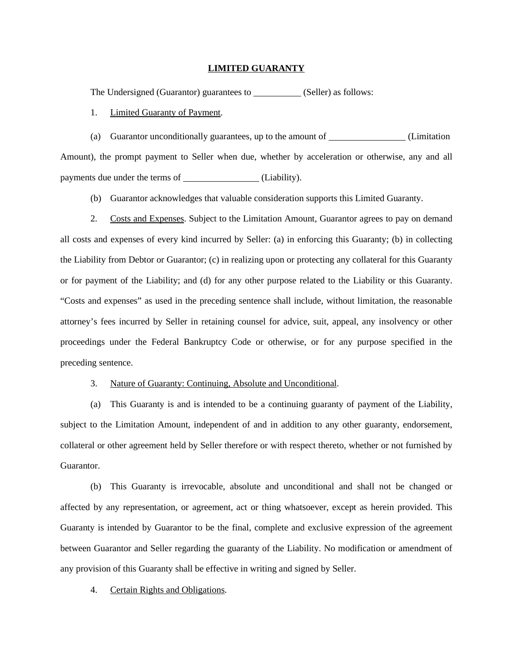## **LIMITED GUARANTY**

The Undersigned (Guarantor) guarantees to \_\_\_\_\_\_\_\_\_\_ (Seller) as follows:

1. Limited Guaranty of Payment.

(a) Guarantor unconditionally guarantees, up to the amount of \_\_\_\_\_\_\_\_\_\_\_\_\_\_\_\_(Limitation Amount), the prompt payment to Seller when due, whether by acceleration or otherwise, any and all payments due under the terms of (Liability).

(b) Guarantor acknowledges that valuable consideration supports this Limited Guaranty.

2. Costs and Expenses. Subject to the Limitation Amount, Guarantor agrees to pay on demand all costs and expenses of every kind incurred by Seller: (a) in enforcing this Guaranty; (b) in collecting the Liability from Debtor or Guarantor; (c) in realizing upon or protecting any collateral for this Guaranty or for payment of the Liability; and (d) for any other purpose related to the Liability or this Guaranty. "Costs and expenses" as used in the preceding sentence shall include, without limitation, the reasonable attorney's fees incurred by Seller in retaining counsel for advice, suit, appeal, any insolvency or other proceedings under the Federal Bankruptcy Code or otherwise, or for any purpose specified in the preceding sentence.

3. Nature of Guaranty: Continuing, Absolute and Unconditional.

(a) This Guaranty is and is intended to be a continuing guaranty of payment of the Liability, subject to the Limitation Amount, independent of and in addition to any other guaranty, endorsement, collateral or other agreement held by Seller therefore or with respect thereto, whether or not furnished by Guarantor.

(b) This Guaranty is irrevocable, absolute and unconditional and shall not be changed or affected by any representation, or agreement, act or thing whatsoever, except as herein provided. This Guaranty is intended by Guarantor to be the final, complete and exclusive expression of the agreement between Guarantor and Seller regarding the guaranty of the Liability. No modification or amendment of any provision of this Guaranty shall be effective in writing and signed by Seller.

4. Certain Rights and Obligations.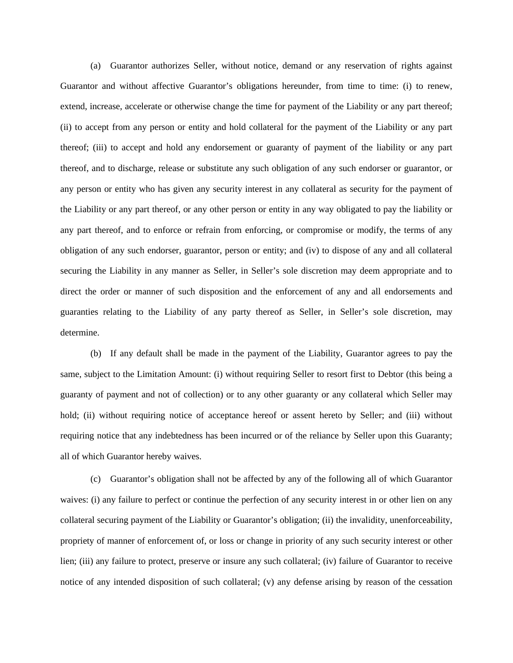(a) Guarantor authorizes Seller, without notice, demand or any reservation of rights against Guarantor and without affective Guarantor's obligations hereunder, from time to time: (i) to renew, extend, increase, accelerate or otherwise change the time for payment of the Liability or any part thereof; (ii) to accept from any person or entity and hold collateral for the payment of the Liability or any part thereof; (iii) to accept and hold any endorsement or guaranty of payment of the liability or any part thereof, and to discharge, release or substitute any such obligation of any such endorser or guarantor, or any person or entity who has given any security interest in any collateral as security for the payment of the Liability or any part thereof, or any other person or entity in any way obligated to pay the liability or any part thereof, and to enforce or refrain from enforcing, or compromise or modify, the terms of any obligation of any such endorser, guarantor, person or entity; and (iv) to dispose of any and all collateral securing the Liability in any manner as Seller, in Seller's sole discretion may deem appropriate and to direct the order or manner of such disposition and the enforcement of any and all endorsements and guaranties relating to the Liability of any party thereof as Seller, in Seller's sole discretion, may determine.

(b) If any default shall be made in the payment of the Liability, Guarantor agrees to pay the same, subject to the Limitation Amount: (i) without requiring Seller to resort first to Debtor (this being a guaranty of payment and not of collection) or to any other guaranty or any collateral which Seller may hold; (ii) without requiring notice of acceptance hereof or assent hereto by Seller; and (iii) without requiring notice that any indebtedness has been incurred or of the reliance by Seller upon this Guaranty; all of which Guarantor hereby waives.

(c) Guarantor's obligation shall not be affected by any of the following all of which Guarantor waives: (i) any failure to perfect or continue the perfection of any security interest in or other lien on any collateral securing payment of the Liability or Guarantor's obligation; (ii) the invalidity, unenforceability, propriety of manner of enforcement of, or loss or change in priority of any such security interest or other lien; (iii) any failure to protect, preserve or insure any such collateral; (iv) failure of Guarantor to receive notice of any intended disposition of such collateral; (v) any defense arising by reason of the cessation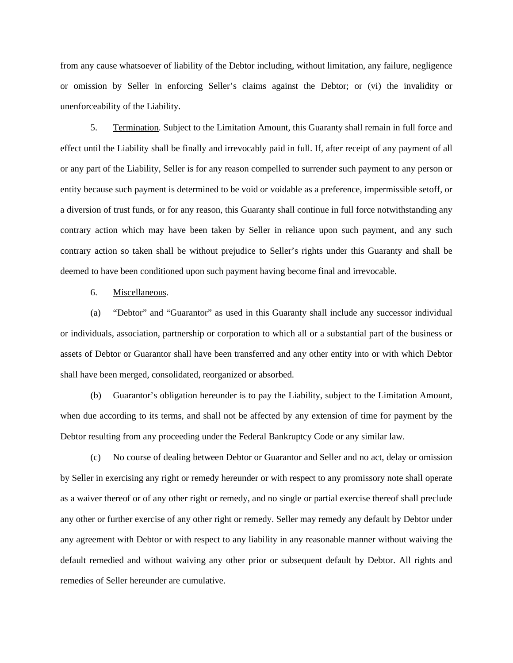from any cause whatsoever of liability of the Debtor including, without limitation, any failure, negligence or omission by Seller in enforcing Seller's claims against the Debtor; or (vi) the invalidity or unenforceability of the Liability.

5. Termination. Subject to the Limitation Amount, this Guaranty shall remain in full force and effect until the Liability shall be finally and irrevocably paid in full. If, after receipt of any payment of all or any part of the Liability, Seller is for any reason compelled to surrender such payment to any person or entity because such payment is determined to be void or voidable as a preference, impermissible setoff, or a diversion of trust funds, or for any reason, this Guaranty shall continue in full force notwithstanding any contrary action which may have been taken by Seller in reliance upon such payment, and any such contrary action so taken shall be without prejudice to Seller's rights under this Guaranty and shall be deemed to have been conditioned upon such payment having become final and irrevocable.

6. Miscellaneous.

(a) "Debtor" and "Guarantor" as used in this Guaranty shall include any successor individual or individuals, association, partnership or corporation to which all or a substantial part of the business or assets of Debtor or Guarantor shall have been transferred and any other entity into or with which Debtor shall have been merged, consolidated, reorganized or absorbed.

(b) Guarantor's obligation hereunder is to pay the Liability, subject to the Limitation Amount, when due according to its terms, and shall not be affected by any extension of time for payment by the Debtor resulting from any proceeding under the Federal Bankruptcy Code or any similar law.

(c) No course of dealing between Debtor or Guarantor and Seller and no act, delay or omission by Seller in exercising any right or remedy hereunder or with respect to any promissory note shall operate as a waiver thereof or of any other right or remedy, and no single or partial exercise thereof shall preclude any other or further exercise of any other right or remedy. Seller may remedy any default by Debtor under any agreement with Debtor or with respect to any liability in any reasonable manner without waiving the default remedied and without waiving any other prior or subsequent default by Debtor. All rights and remedies of Seller hereunder are cumulative.